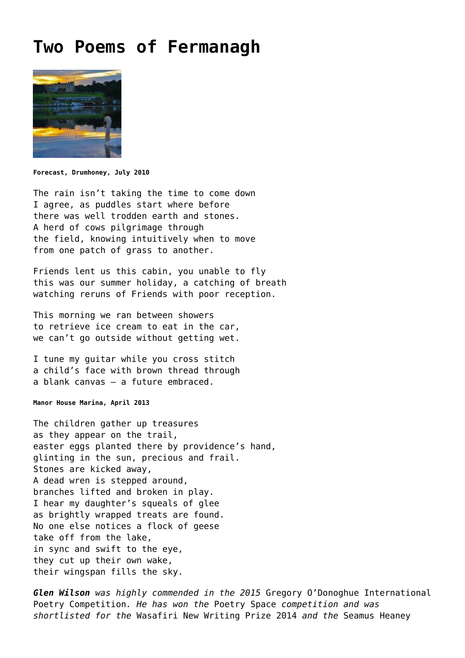## **[Two Poems of Fermanagh](https://corncrakemagazine.com/article/poems-of-fermanagh-by-glen-wilson/)**



**Forecast, Drumhoney, July 2010**

The rain isn't taking the time to come down I agree, as puddles start where before there was well trodden earth and stones. A herd of cows pilgrimage through the field, knowing intuitively when to move from one patch of grass to another.

Friends lent us this cabin, you unable to fly this was our summer holiday, a catching of breath watching reruns of Friends with poor reception.

This morning we ran between showers to retrieve ice cream to eat in the car, we can't go outside without getting wet.

I tune my guitar while you cross stitch a child's face with brown thread through a blank canvas – a future embraced.

**Manor House Marina, April 2013**

The children gather up treasures as they appear on the trail, easter eggs planted there by providence's hand, glinting in the sun, precious and frail. Stones are kicked away, A dead wren is stepped around, branches lifted and broken in play. I hear my daughter's squeals of glee as brightly wrapped treats are found. No one else notices a flock of geese take off from the lake, in sync and swift to the eye, they cut up their own wake, their wingspan fills the sky.

*Glen Wilson was highly commended in the 2015* Gregory O'Donoghue International Poetry Competition*. He has won the* Poetry Space *competition and was shortlisted for the* Wasafiri New Writing Prize 2014 *and the* Seamus Heaney